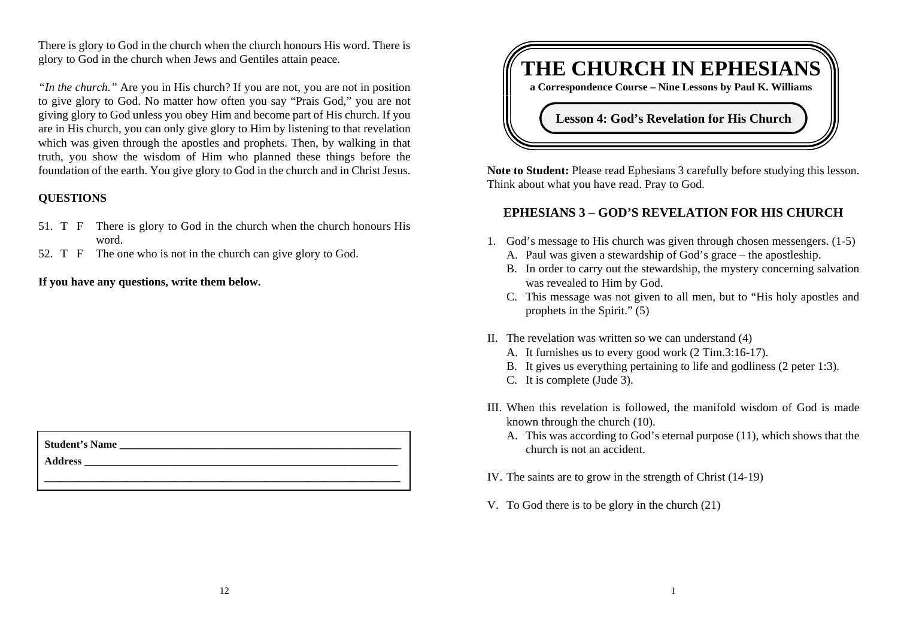There is glory to God in the church when the church honours His word. There is glory to God in the church when Jews and Gentiles attain peace.

*"In the church."* Are you in His church? If you are not, you are not in position to give glory to God. No matter how often you say "Prais God," you are not giving glory to God unless you obey Him and become part of His church. If you are in His church, you can only give glory to Him by listening to that revelation which was given through the apostles and prophets. Then, by walking in that truth, you show the wisdom of Him who planned these things before the foundation of the earth. You give glory to God in the church and in Christ Jesus.

# **QUESTIONS**

- 51. T F There is glory to God in the church when the church honours His word.
- 52. T F The one who is not in the church can give glory to God.

# **If you have any questions, write them below.**

| <b>Student's Name</b> |  |  |
|-----------------------|--|--|
| Address               |  |  |
|                       |  |  |



**Note to Student:** Please read Ephesians 3 carefully before studying this lesson. Think about what you have read. Pray to God.

# **EPHESIANS 3 – GOD'S REVELATION FOR HIS CHURCH**

- 1. God's message to His church was given through chosen messengers. (1-5) A. Paul was given a stewardship of God's grace – the apostleship.
	- B. In order to carry out the stewardship, the mystery concerning salvation was revealed to Him by God.
	- C. This message was not given to all men, but to "His holy apostles and prophets in the Spirit." (5)
- II. The revelation was written so we can understand (4)
	- A. It furnishes us to every good work (2 Tim.3:16-17).
	- B. It gives us everything pertaining to life and godliness (2 peter 1:3).
	- C. It is complete (Jude 3).
- III. When this revelation is followed, the manifold wisdom of God is made known through the church (10).
	- A. This was according to God's eternal purpose (11), which shows that the church is not an accident.
- IV. The saints are to grow in the strength of Christ (14-19)
- V. To God there is to be glory in the church (21)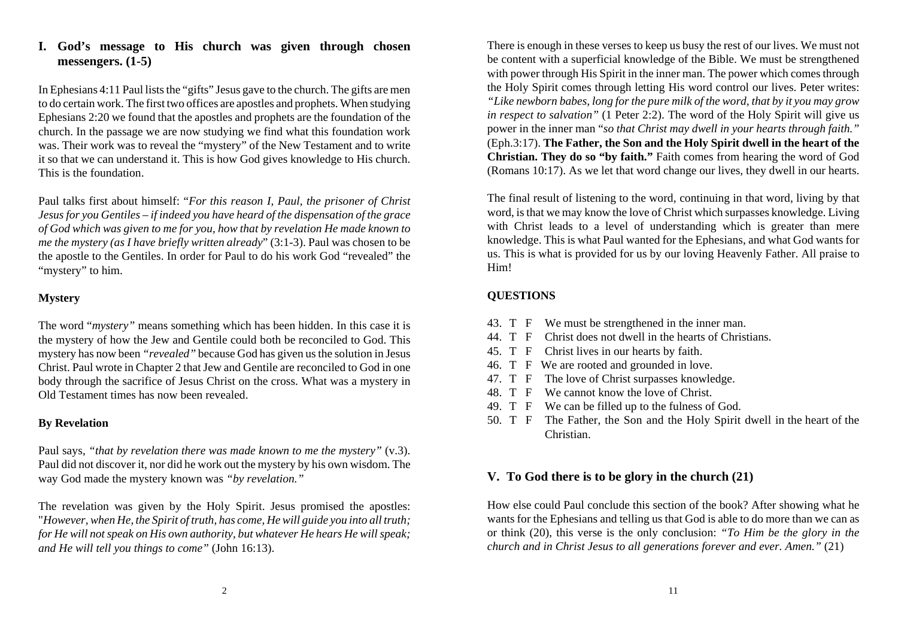# **I. God's message to His church was given through chosen messengers. (1-5)**

In Ephesians 4:11 Paul lists the "gifts" Jesus gave to the church. The gifts are men to do certain work. The first two offices are apostles and prophets. When studying Ephesians 2:20 we found that the apostles and prophets are the foundation of the church. In the passage we are now studying we find what this foundation work was. Their work was to reveal the "mystery" of the New Testament and to write it so that we can understand it. This is how God gives knowledge to His church. This is the foundation.

Paul talks first about himself: "*For this reason I, Paul, the prisoner of Christ Jesus for you Gentiles – if indeed you have heard of the dispensation of the grace of God which was given to me for you, how that by revelation He made known to me the mystery (as I have briefly written already*" (3:1-3). Paul was chosen to be the apostle to the Gentiles. In order for Paul to do his work God "revealed" the "mystery" to him.

# **Mystery**

The word "*mystery"* means something which has been hidden. In this case it is the mystery of how the Jew and Gentile could both be reconciled to God. This mystery has now been *"revealed"* because God has given us the solution in Jesus Christ. Paul wrote in Chapter 2 that Jew and Gentile are reconciled to God in one body through the sacrifice of Jesus Christ on the cross. What was a mystery in Old Testament times has now been revealed.

# **By Revelation**

Paul says, *"that by revelation there was made known to me the mystery"* (v.3). Paul did not discover it, nor did he work out the mystery by his own wisdom. The way God made the mystery known was *"by revelation."*

The revelation was given by the Holy Spirit. Jesus promised the apostles: "*However, when He, the Spirit of truth, has come, He will guide you into all truth; for He will not speak on His own authority, but whatever He hears He will speak; and He will tell you things to come"* (John 16:13).

There is enough in these verses to keep us busy the rest of our lives. We must not be content with a superficial knowledge of the Bible. We must be strengthened with power through His Spirit in the inner man. The power which comes through the Holy Spirit comes through letting His word control our lives. Peter writes: *"Like newborn babes, long for the pure milk of the word, that by it you may grow in respect to salvation"* (1 Peter 2:2). The word of the Holy Spirit will give us power in the inner man "*so that Christ may dwell in your hearts through faith."* (Eph.3:17). **The Father, the Son and the Holy Spirit dwell in the heart of the Christian. They do so "by faith."** Faith comes from hearing the word of God (Romans 10:17). As we let that word change our lives, they dwell in our hearts.

The final result of listening to the word, continuing in that word, living by that word, is that we may know the love of Christ which surpasses knowledge. Living with Christ leads to a level of understanding which is greater than mere knowledge. This is what Paul wanted for the Ephesians, and what God wants for us. This is what is provided for us by our loving Heavenly Father. All praise to Him!

# **QUESTIONS**

- 43. T F We must be strengthened in the inner man.
- 44. T F Christ does not dwell in the hearts of Christians.
- 45. T F Christ lives in our hearts by faith.
- 46. T F We are rooted and grounded in love.
- 47. T F The love of Christ surpasses knowledge.
- 48. T F We cannot know the love of Christ.
- 49. T F We can be filled up to the fulness of God.
- 50. T F The Father, the Son and the Holy Spirit dwell in the heart of the Christian.

# **V. To God there is to be glory in the church (21)**

How else could Paul conclude this section of the book? After showing what he wants for the Ephesians and telling us that God is able to do more than we can as or think (20), this verse is the only conclusion: *"To Him be the glory in the church and in Christ Jesus to all generations forever and ever. Amen."* (21)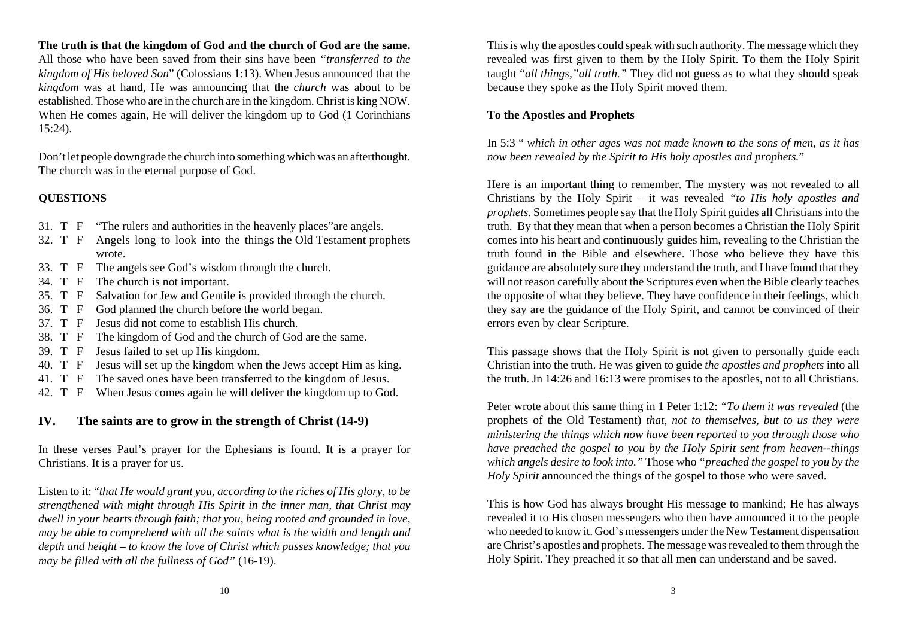**The truth is that the kingdom of God and the church of God are the same.**

All those who have been saved from their sins have been *"transferred to the kingdom of His beloved Son*" (Colossians 1:13). When Jesus announced that the *kingdom* was at hand, He was announcing that the *church* was about to be established. Those who are in the church are in the kingdom. Christ is king NOW. When He comes again, He will deliver the kingdom up to God (1 Corinthians 15:24).

Don't let people downgrade the church into something which was an afterthought. The church was in the eternal purpose of God.

# **QUESTIONS**

- 31. T F "The rulers and authorities in the heavenly places"are angels.
- 32. T F Angels long to look into the things the Old Testament prophets wrote.
- 33. T F The angels see God's wisdom through the church.
- 34. T F The church is not important.
- 35. T F Salvation for Jew and Gentile is provided through the church.
- 36. T F God planned the church before the world began.
- 37. T F Jesus did not come to establish His church.
- 38. T F The kingdom of God and the church of God are the same.
- 39. T F Jesus failed to set up His kingdom.
- 40. T F Jesus will set up the kingdom when the Jews accept Him as king.
- 41. T F The saved ones have been transferred to the kingdom of Jesus.
- 42. T F When Jesus comes again he will deliver the kingdom up to God.

### **IV. The saints are to grow in the strength of Christ (14-9)**

In these verses Paul's prayer for the Ephesians is found. It is a prayer for Christians. It is a prayer for us.

Listen to it: "*that He would grant you, according to the riches of His glory, to be strengthened with might through His Spirit in the inner man, that Christ may dwell in your hearts through faith; that you, being rooted and grounded in love, may be able to comprehend with all the saints what is the width and length and depth and height – to know the love of Christ which passes knowledge; that you may be filled with all the fullness of God"* (16-19).

This is why the apostles could speak with such authority. The message which they revealed was first given to them by the Holy Spirit. To them the Holy Spirit taught "*all things,"all truth."* They did not guess as to what they should speak because they spoke as the Holy Spirit moved them.

#### **To the Apostles and Prophets**

In 5:3 " *which in other ages was not made known to the sons of men, as it has now been revealed by the Spirit to His holy apostles and prophets.*"

Here is an important thing to remember. The mystery was not revealed to all Christians by the Holy Spirit – it was revealed *"to His holy apostles and prophets.* Sometimes people say that the Holy Spirit guides all Christians into the truth. By that they mean that when a person becomes a Christian the Holy Spirit comes into his heart and continuously guides him, revealing to the Christian the truth found in the Bible and elsewhere. Those who believe they have this guidance are absolutely sure they understand the truth, and I have found that they will not reason carefully about the Scriptures even when the Bible clearly teaches the opposite of what they believe. They have confidence in their feelings, which they say are the guidance of the Holy Spirit, and cannot be convinced of their errors even by clear Scripture.

This passage shows that the Holy Spirit is not given to personally guide each Christian into the truth. He was given to guide *the apostles and prophets* into all the truth. Jn 14:26 and 16:13 were promises to the apostles, not to all Christians.

Peter wrote about this same thing in 1 Peter 1:12: *"To them it was revealed* (the prophets of the Old Testament) *that, not to themselves, but to us they were ministering the things which now have been reported to you through those who have preached the gospel to you by the Holy Spirit sent from heaven--things which angels desire to look into."* Those who *"preached the gospel to you by the Holy Spirit* announced the things of the gospel to those who were saved.

This is how God has always brought His message to mankind; He has always revealed it to His chosen messengers who then have announced it to the people who needed to know it. God's messengers under the New Testament dispensation are Christ's apostles and prophets. The message was revealed to them through the Holy Spirit. They preached it so that all men can understand and be saved.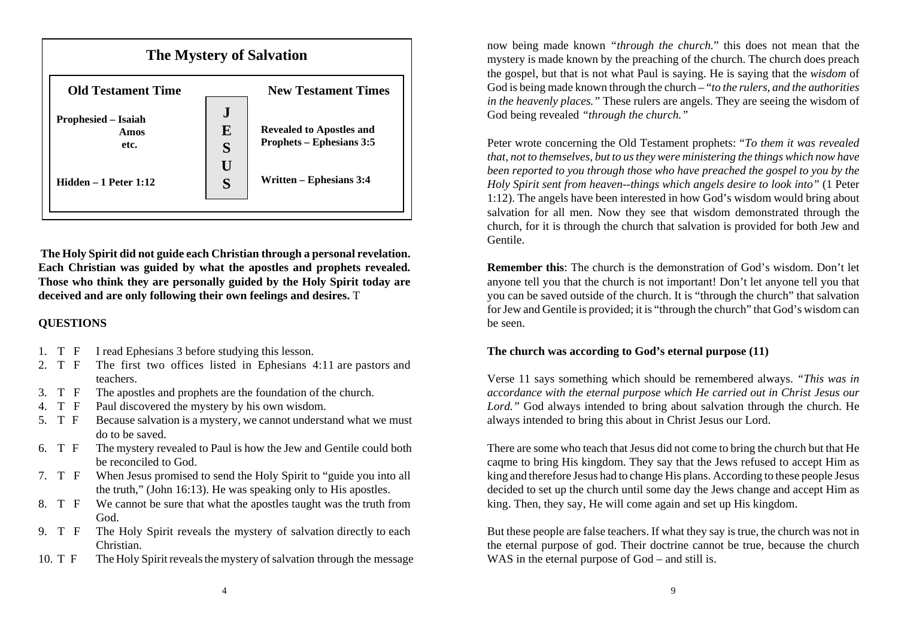

**The Holy Spirit did not guide each Christian through a personal revelation. Each Christian was guided by what the apostles and prophets revealed. Those who think they are personally guided by the Holy Spirit today are deceived and are only following their own feelings and desires.** T

# **QUESTIONS**

- 1. T F I read Ephesians 3 before studying this lesson.
- 2. T F The first two offices listed in Ephesians 4:11 are pastors and teachers.
- 3. T F The apostles and prophets are the foundation of the church.
- 4. T F Paul discovered the mystery by his own wisdom.
- 5. T F Because salvation is a mystery, we cannot understand what we must do to be saved.
- 6. T F The mystery revealed to Paul is how the Jew and Gentile could both be reconciled to God.
- 7. T F When Jesus promised to send the Holy Spirit to "guide you into all the truth," (John 16:13). He was speaking only to His apostles.
- 8. T F We cannot be sure that what the apostles taught was the truth from God.
- 9. T F The Holy Spirit reveals the mystery of salvation directly to each Christian.
- 10. T F The Holy Spirit reveals the mystery of salvation through the message

now being made known *"through the church.*" this does not mean that the mystery is made known by the preaching of the church. The church does preach the gospel, but that is not what Paul is saying. He is saying that the *wisdom* of God is being made known through the church – "*to the rulers, and the authorities in the heavenly places."* These rulers are angels. They are seeing the wisdom of God being revealed *"through the church."*

Peter wrote concerning the Old Testament prophets: "*To them it was revealed that, not to themselves, but to us they were ministering the things which now have been reported to you through those who have preached the gospel to you by the Holy Spirit sent from heaven--things which angels desire to look into"* (1 Peter 1:12). The angels have been interested in how God's wisdom would bring about salvation for all men. Now they see that wisdom demonstrated through the church, for it is through the church that salvation is provided for both Jew and Gentile.

**Remember this**: The church is the demonstration of God's wisdom. Don't let anyone tell you that the church is not important! Don't let anyone tell you that you can be saved outside of the church. It is "through the church" that salvation for Jew and Gentile is provided; it is "through the church" that God's wisdom can be seen.

# **The church was according to God's eternal purpose (11)**

Verse 11 says something which should be remembered always. *"This was in accordance with the eternal purpose which He carried out in Christ Jesus our Lord."* God always intended to bring about salvation through the church. He always intended to bring this about in Christ Jesus our Lord.

There are some who teach that Jesus did not come to bring the church but that He caqme to bring His kingdom. They say that the Jews refused to accept Him as king and therefore Jesus had to change His plans. According to these people Jesus decided to set up the church until some day the Jews change and accept Him as king. Then, they say, He will come again and set up His kingdom.

But these people are false teachers. If what they say is true, the church was not in the eternal purpose of god. Their doctrine cannot be true, because the church WAS in the eternal purpose of God – and still is.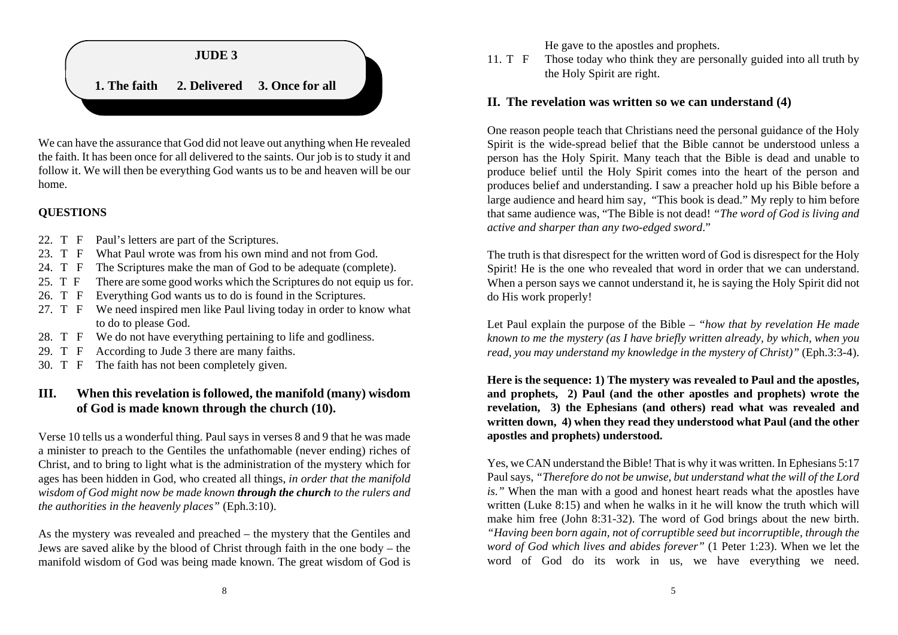

We can have the assurance that God did not leave out anything when He revealed the faith. It has been once for all delivered to the saints. Our job is to study it and follow it. We will then be everything God wants us to be and heaven will be our home.

#### **QUESTIONS**

- 22. T F Paul's letters are part of the Scriptures.
- 23. T F What Paul wrote was from his own mind and not from God.
- 24. T F The Scriptures make the man of God to be adequate (complete).
- 25. T F There are some good works which the Scriptures do not equip us for.
- 26. T F Everything God wants us to do is found in the Scriptures.
- 27. T F We need inspired men like Paul living today in order to know what to do to please God.
- 28. T F We do not have everything pertaining to life and godliness.
- 29. T F According to Jude 3 there are many faiths.
- 30. T F The faith has not been completely given.

# **III. When this revelation is followed, the manifold (many) wisdom of God is made known through the church (10).**

Verse 10 tells us a wonderful thing. Paul says in verses 8 and 9 that he was made a minister to preach to the Gentiles the unfathomable (never ending) riches of Christ, and to bring to light what is the administration of the mystery which for ages has been hidden in God, who created all things, *in order that the manifold wisdom of God might now be made known through the church to the rulers and the authorities in the heavenly places"* (Eph.3:10).

As the mystery was revealed and preached – the mystery that the Gentiles and Jews are saved alike by the blood of Christ through faith in the one body – the manifold wisdom of God was being made known. The great wisdom of God is

He gave to the apostles and prophets.

11. T F Those today who think they are personally guided into all truth by the Holy Spirit are right.

# **II. The revelation was written so we can understand (4)**

One reason people teach that Christians need the personal guidance of the Holy Spirit is the wide-spread belief that the Bible cannot be understood unless a person has the Holy Spirit. Many teach that the Bible is dead and unable to produce belief until the Holy Spirit comes into the heart of the person and produces belief and understanding. I saw a preacher hold up his Bible before a large audience and heard him say, "This book is dead." My reply to him before that same audience was, "The Bible is not dead! *"The word of God is living and active and sharper than any two-edged sword*."

The truth is that disrespect for the written word of God is disrespect for the Holy Spirit! He is the one who revealed that word in order that we can understand. When a person says we cannot understand it, he is saying the Holy Spirit did not do His work properly!

Let Paul explain the purpose of the Bible – *"how that by revelation He made known to me the mystery (as I have briefly written already, by which, when you read, you may understand my knowledge in the mystery of Christ)"* (Eph.3:3-4).

**Here is the sequence: 1) The mystery was revealed to Paul and the apostles, and prophets, 2) Paul (and the other apostles and prophets) wrote the revelation, 3) the Ephesians (and others) read what was revealed and written down, 4) when they read they understood what Paul (and the other apostles and prophets) understood.**

Yes, we CAN understand the Bible! That is why it was written. In Ephesians 5:17 Paul says, *"Therefore do not be unwise, but understand what the will of the Lord is."* When the man with a good and honest heart reads what the apostles have written (Luke 8:15) and when he walks in it he will know the truth which will make him free (John 8:31-32). The word of God brings about the new birth. *"Having been born again, not of corruptible seed but incorruptible, through the word of God which lives and abides forever"* (1 Peter 1:23). When we let the word of God do its work in us, we have everything we need.